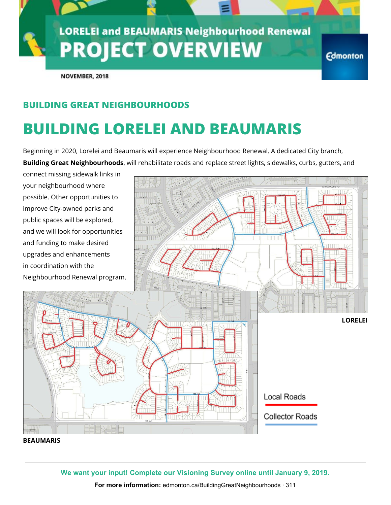# **LORELEI and BEAUMARIS Neighbourhood Renewal PROJECT OVERVIEW**

**Edmonton** 

NOVEMBER, 2018

### **BUILDING GREAT NEIGHBOURHOODS**

## **BUILDING LORELEI AND BEAUMARIS**

Beginning in 2020, Lorelei and Beaumaris will experience Neighbourhood Renewal. A dedicated City branch, **Building Great Neighbourhoods**, will rehabilitate roads and replace street lights, sidewalks, curbs, gutters, and

connect missing sidewalk links in your neighbourhood where possible. Other opportunities to improve City-owned parks and public spaces will be explored, and we will look for opportunities and funding to make desired upgrades and enhancements in coordination with the Neighbourhood Renewal program. **LORELEI Local Roads Collector Roads** 

### **BEAUMARIS**

**We want your input! Complete our Visioning Survey online until January 9, 2019.**

**For more information:** edmonton.ca/BuildingGreatNeighbourhoods · 311